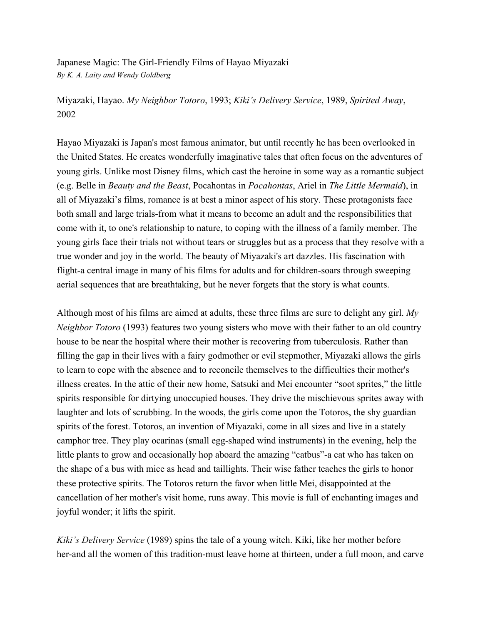Japanese Magic: The Girl-Friendly Films of Hayao Miyazaki *By K. A. Laity and Wendy Goldberg*

Miyazaki, Hayao. *My Neighbor Totoro*, 1993; *Kiki's Delivery Service*, 1989, *Spirited Away*, 2002

Hayao Miyazaki is Japan's most famous animator, but until recently he has been overlooked in the United States. He creates wonderfully imaginative tales that often focus on the adventures of young girls. Unlike most Disney films, which cast the heroine in some way as a romantic subject (e.g. Belle in *Beauty and the Beast*, Pocahontas in *Pocahontas*, Ariel in *The Little Mermaid*), in all of Miyazaki's films, romance is at best a minor aspect of his story. These protagonists face both small and large trials-from what it means to become an adult and the responsibilities that come with it, to one's relationship to nature, to coping with the illness of a family member. The young girls face their trials not without tears or struggles but as a process that they resolve with a true wonder and joy in the world. The beauty of Miyazaki's art dazzles. His fascination with flight-a central image in many of his films for adults and for children-soars through sweeping aerial sequences that are breathtaking, but he never forgets that the story is what counts.

Although most of his films are aimed at adults, these three films are sure to delight any girl. *My Neighbor Totoro* (1993) features two young sisters who move with their father to an old country house to be near the hospital where their mother is recovering from tuberculosis. Rather than filling the gap in their lives with a fairy godmother or evil stepmother, Miyazaki allows the girls to learn to cope with the absence and to reconcile themselves to the difficulties their mother's illness creates. In the attic of their new home, Satsuki and Mei encounter "soot sprites," the little spirits responsible for dirtying unoccupied houses. They drive the mischievous sprites away with laughter and lots of scrubbing. In the woods, the girls come upon the Totoros, the shy guardian spirits of the forest. Totoros, an invention of Miyazaki, come in all sizes and live in a stately camphor tree. They play ocarinas (small egg-shaped wind instruments) in the evening, help the little plants to grow and occasionally hop aboard the amazing "catbus"-a cat who has taken on the shape of a bus with mice as head and taillights. Their wise father teaches the girls to honor these protective spirits. The Totoros return the favor when little Mei, disappointed at the cancellation of her mother's visit home, runs away. This movie is full of enchanting images and joyful wonder; it lifts the spirit.

*Kiki's Delivery Service* (1989) spins the tale of a young witch. Kiki, like her mother before her-and all the women of this tradition-must leave home at thirteen, under a full moon, and carve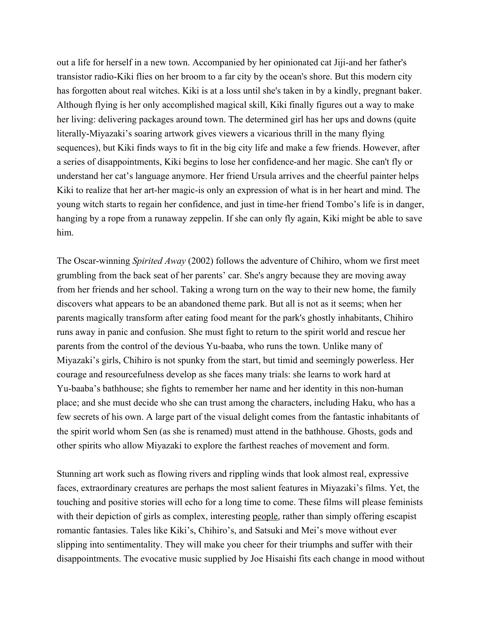out a life for herself in a new town. Accompanied by her opinionated cat Jiji-and her father's transistor radio-Kiki flies on her broom to a far city by the ocean's shore. But this modern city has forgotten about real witches. Kiki is at a loss until she's taken in by a kindly, pregnant baker. Although flying is her only accomplished magical skill, Kiki finally figures out a way to make her living: delivering packages around town. The determined girl has her ups and downs (quite literally-Miyazaki's soaring artwork gives viewers a vicarious thrill in the many flying sequences), but Kiki finds ways to fit in the big city life and make a few friends. However, after a series of disappointments, Kiki begins to lose her confidence-and her magic. She can't fly or understand her cat's language anymore. Her friend Ursula arrives and the cheerful painter helps Kiki to realize that her art-her magic-is only an expression of what is in her heart and mind. The young witch starts to regain her confidence, and just in time-her friend Tombo's life is in danger, hanging by a rope from a runaway zeppelin. If she can only fly again, Kiki might be able to save him.

The Oscar-winning *Spirited Away* (2002) follows the adventure of Chihiro, whom we first meet grumbling from the back seat of her parents' car. She's angry because they are moving away from her friends and her school. Taking a wrong turn on the way to their new home, the family discovers what appears to be an abandoned theme park. But all is not as it seems; when her parents magically transform after eating food meant for the park's ghostly inhabitants, Chihiro runs away in panic and confusion. She must fight to return to the spirit world and rescue her parents from the control of the devious Yu-baaba, who runs the town. Unlike many of Miyazaki's girls, Chihiro is not spunky from the start, but timid and seemingly powerless. Her courage and resourcefulness develop as she faces many trials: she learns to work hard at Yu-baaba's bathhouse; she fights to remember her name and her identity in this non-human place; and she must decide who she can trust among the characters, including Haku, who has a few secrets of his own. A large part of the visual delight comes from the fantastic inhabitants of the spirit world whom Sen (as she is renamed) must attend in the bathhouse. Ghosts, gods and other spirits who allow Miyazaki to explore the farthest reaches of movement and form.

Stunning art work such as flowing rivers and rippling winds that look almost real, expressive faces, extraordinary creatures are perhaps the most salient features in Miyazaki's films. Yet, the touching and positive stories will echo for a long time to come. These films will please feminists with their depiction of girls as complex, interesting people, rather than simply offering escapist romantic fantasies. Tales like Kiki's, Chihiro's, and Satsuki and Mei's move without ever slipping into sentimentality. They will make you cheer for their triumphs and suffer with their disappointments. The evocative music supplied by Joe Hisaishi fits each change in mood without